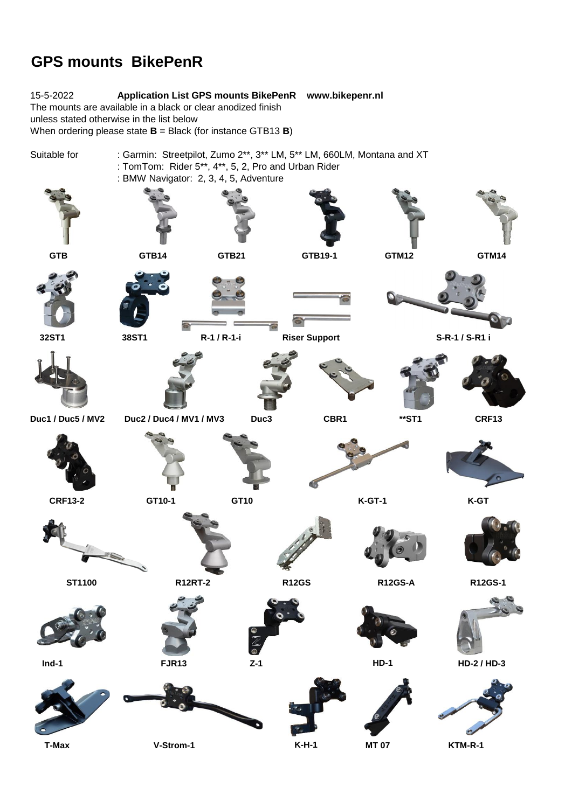## **GPS mounts BikePenR**

15-5-2022 **Application List GPS mounts BikePenR www.bikepenr.nl** The mounts are available in a black or clear anodized finish unless stated otherwise in the list below When ordering please state **B** = Black (for instance GTB13 **B**) Suitable for : Garmin: Streetpilot, Zumo 2\*\*, 3\*\* LM, 5\*\* LM, 660LM, Montana and XT : TomTom: Rider 5\*\*, 4\*\*, 5, 2, Pro and Urban Rider : BMW Navigator: 2, 3, 4, 5, Adventure  **GTB GTB14 GTB21 GTB19-1 GTM12 GTM14 32ST1 38ST1 R-1 / R-1-i Riser Support S-R-1 / S-R1 i Duc1 / Duc5 / MV2 Duc2 / Duc4 / MV1 / MV3 Duc3 CBR1 \*\*ST1 CRF13 CRF13-2 GT10-1 GT10 K-GT-1 K-GT ST1100 R12RT-2 R12GS R12GS-A R12GS-1 Ind-1 FJR13 Z-1 HD-1 HD-2 / HD-3** é

 **T-Max V-Strom-1 K-H-1 MT 07 KTM-R-1**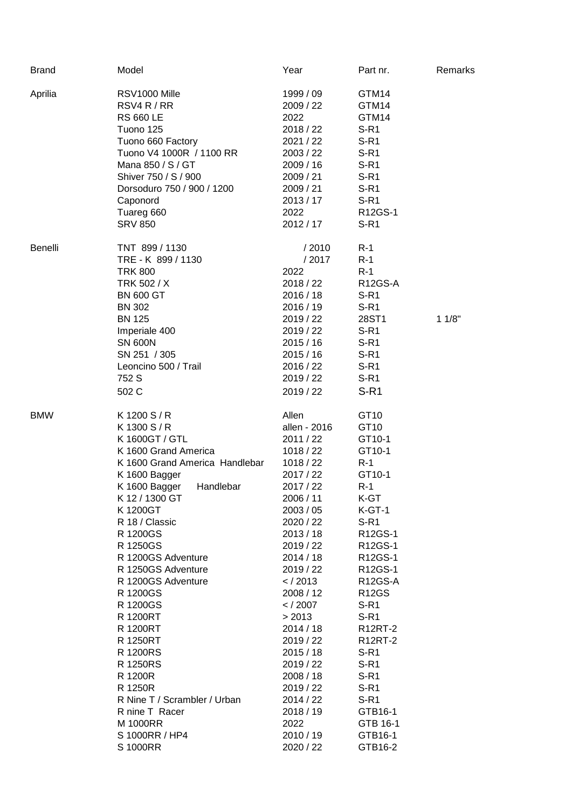| <b>Brand</b> | Model                                            | Year                           | Part nr.                | Remarks |
|--------------|--------------------------------------------------|--------------------------------|-------------------------|---------|
| Aprilia      | RSV1000 Mille<br>RSV4 R / RR<br><b>RS 660 LE</b> | 1999 / 09<br>2009 / 22<br>2022 | GTM14<br>GTM14<br>GTM14 |         |
|              | Tuono 125                                        | 2018 / 22                      | $S-R1$                  |         |
|              | Tuono 660 Factory                                | 2021 / 22                      | $S-R1$                  |         |
|              | Tuono V4 1000R / 1100 RR                         | 2003 / 22                      | $S-R1$                  |         |
|              | Mana 850 / S / GT                                | 2009 / 16                      | $S-R1$                  |         |
|              | Shiver 750 / S / 900                             | 2009 / 21                      | $S-R1$                  |         |
|              | Dorsoduro 750 / 900 / 1200                       | 2009 / 21                      | $S-R1$                  |         |
|              | Caponord                                         | 2013/17                        | $S-R1$                  |         |
|              | Tuareg 660                                       | 2022                           | R12GS-1                 |         |
|              | <b>SRV 850</b>                                   | 2012 / 17                      | $S-R1$                  |         |
| Benelli      | TNT 899 / 1130                                   | /2010                          | $R-1$                   |         |
|              | TRE - K 899 / 1130                               | /2017                          | $R-1$                   |         |
|              | <b>TRK 800</b>                                   | 2022                           | $R-1$                   |         |
|              | TRK 502 / X                                      | 2018 / 22                      | R12GS-A                 |         |
|              | <b>BN 600 GT</b>                                 | 2016/18                        | $S-R1$                  |         |
|              | <b>BN 302</b>                                    | 2016 / 19                      | $S-R1$                  |         |
|              | <b>BN 125</b>                                    | 2019 / 22                      | 28ST1                   | 11/8"   |
|              | Imperiale 400                                    | 2019 / 22                      | $S-R1$                  |         |
|              | <b>SN 600N</b>                                   | 2015/16                        | $S-R1$                  |         |
|              | SN 251 / 305                                     | 2015/16                        | $S-R1$                  |         |
|              | Leoncino 500 / Trail<br>752 S                    | 2016 / 22<br>2019 / 22         | $S-R1$<br>$S-R1$        |         |
|              | 502 C                                            | 2019 / 22                      | $S-R1$                  |         |
|              |                                                  |                                |                         |         |
| <b>BMW</b>   | K 1200 S / R                                     | Allen                          | GT10                    |         |
|              | K 1300 S / R                                     | allen - 2016                   | GT10                    |         |
|              | K 1600GT / GTL                                   | 2011 / 22                      | GT10-1                  |         |
|              | K 1600 Grand America                             | 1018 / 22                      | GT10-1<br>$R-1$         |         |
|              | K 1600 Grand America Handlebar<br>K 1600 Bagger  | 1018/22<br>2017 / 22           | GT10-1                  |         |
|              | K 1600 Bagger<br>Handlebar                       | 2017 / 22                      | $R-1$                   |         |
|              | K 12 / 1300 GT                                   | 2006 / 11                      | K-GT                    |         |
|              | K1200GT                                          | 2003 / 05                      | $K-GT-1$                |         |
|              | R 18 / Classic                                   | 2020 / 22                      | $S-R1$                  |         |
|              | R 1200GS                                         | 2013/18                        | R12GS-1                 |         |
|              | R 1250GS                                         | 2019 / 22                      | R12GS-1                 |         |
|              | R 1200GS Adventure                               | 2014 / 18                      | R12GS-1                 |         |
|              | R 1250GS Adventure                               | 2019 / 22                      | R12GS-1                 |         |
|              | R 1200GS Adventure                               | $<$ / 2013                     | R12GS-A                 |         |
|              | R 1200GS                                         | 2008 / 12                      | <b>R12GS</b>            |         |
|              | R 1200GS                                         | $<$ / 2007                     | $S-R1$                  |         |
|              | R 1200RT                                         | > 2013                         | $S-R1$                  |         |
|              | R 1200RT                                         | 2014 / 18                      | <b>R12RT-2</b>          |         |
|              | R 1250RT                                         | 2019 / 22                      | <b>R12RT-2</b>          |         |
|              | R 1200RS                                         | 2015/18                        | $S-R1$                  |         |
|              | R 1250RS                                         | 2019 / 22                      | $S-R1$                  |         |
|              | R 1200R                                          | 2008 / 18                      | $S-R1$                  |         |
|              | R 1250R                                          | 2019 / 22                      | $S-R1$                  |         |
|              | R Nine T / Scrambler / Urban                     | 2014 / 22                      | $S-R1$                  |         |
|              | R nine T Racer                                   | 2018 / 19                      | GTB16-1                 |         |
|              | M 1000RR                                         | 2022                           | GTB 16-1                |         |
|              | S 1000RR / HP4                                   | 2010 / 19                      | GTB16-1                 |         |
|              | S 1000RR                                         | 2020 / 22                      | GTB16-2                 |         |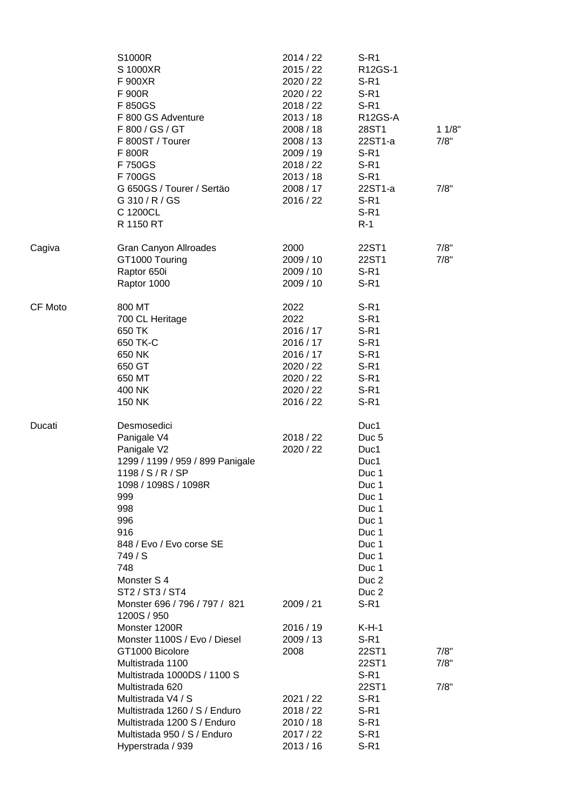|         | S1000R<br>S 1000XR<br>F 900XR<br>F 900R<br>F 850GS<br>F 800 GS Adventure<br>F 800 / GS / GT<br>F 800ST / Tourer<br>F 800R<br>F 750GS<br>F 700GS                                                                                                                                                                                  | 2014 / 22<br>2015 / 22<br>2020 / 22<br>2020 / 22<br>2018 / 22<br>2013/18<br>2008 / 18<br>2008 / 13<br>2009/19<br>2018 / 22<br>2013/18 | $S-R1$<br>R12GS-1<br>$S-R1$<br>$S-R1$<br>$S-R1$<br>R12GS-A<br>28ST1<br>22ST1-a<br>$S-R1$<br>$S-R1$<br>$S-R1$                                                                | 11/8"<br>7/8"        |
|---------|----------------------------------------------------------------------------------------------------------------------------------------------------------------------------------------------------------------------------------------------------------------------------------------------------------------------------------|---------------------------------------------------------------------------------------------------------------------------------------|-----------------------------------------------------------------------------------------------------------------------------------------------------------------------------|----------------------|
|         | G 650GS / Tourer / Sertäo<br>G 310 / R / GS<br>C 1200CL<br>R 1150 RT                                                                                                                                                                                                                                                             | 2008 / 17<br>2016 / 22                                                                                                                | 22ST1-a<br>$S-R1$<br>$S-R1$<br>$R-1$                                                                                                                                        | 7/8"                 |
| Cagiva  | Gran Canyon Allroades<br>GT1000 Touring<br>Raptor 650i<br>Raptor 1000                                                                                                                                                                                                                                                            | 2000<br>2009 / 10<br>2009 / 10<br>2009 / 10                                                                                           | 22ST1<br>22ST1<br>$S-R1$<br>$S-R1$                                                                                                                                          | 7/8"<br>7/8"         |
| CF Moto | 800 MT<br>700 CL Heritage<br>650 TK<br>650 TK-C<br>650 NK<br>650 GT<br>650 MT<br>400 NK<br>150 NK                                                                                                                                                                                                                                | 2022<br>2022<br>2016 / 17<br>2016 / 17<br>2016 / 17<br>2020 / 22<br>2020 / 22<br>2020 / 22<br>2016 / 22                               | $S-R1$<br>$S-R1$<br>$S-R1$<br>$S-R1$<br>$S-R1$<br>$S-R1$<br>$S-R1$<br>$S-R1$<br>$S-R1$                                                                                      |                      |
| Ducati  | Desmosedici<br>Panigale V4<br>Panigale V2<br>1299 / 1199 / 959 / 899 Panigale<br>1198 / S / R / SP<br>1098 / 1098S / 1098R<br>999<br>998<br>996<br>916<br>848 / Evo / Evo corse SE<br>749/S<br>748<br>Monster S 4<br>ST2 / ST3 / ST4                                                                                             | 2018 / 22<br>2020 / 22                                                                                                                | Duc1<br>Duc <sub>5</sub><br>Duc1<br>Duc1<br>Duc 1<br>Duc 1<br>Duc 1<br>Duc 1<br>Duc 1<br>Duc 1<br>Duc 1<br>Duc 1<br>Duc 1<br>Duc <sub>2</sub><br>Duc <sub>2</sub><br>$S-R1$ |                      |
|         | Monster 696 / 796 / 797 / 821<br>1200S / 950<br>Monster 1200R<br>Monster 1100S / Evo / Diesel<br>GT1000 Bicolore<br>Multistrada 1100<br>Multistrada 1000DS / 1100 S<br>Multistrada 620<br>Multistrada V4 / S<br>Multistrada 1260 / S / Enduro<br>Multistrada 1200 S / Enduro<br>Multistada 950 / S / Enduro<br>Hyperstrada / 939 | 2009 / 21<br>2016 / 19<br>2009/13<br>2008<br>2021/22<br>2018 / 22<br>2010/18<br>2017 / 22<br>2013/16                                  | $K-H-1$<br>$S-R1$<br>22ST1<br>22ST1<br>$S-R1$<br>22ST1<br>$S-R1$<br>$S-R1$<br>S-R <sub>1</sub><br>$S-R1$<br>$S-R1$                                                          | 7/8"<br>7/8"<br>7/8" |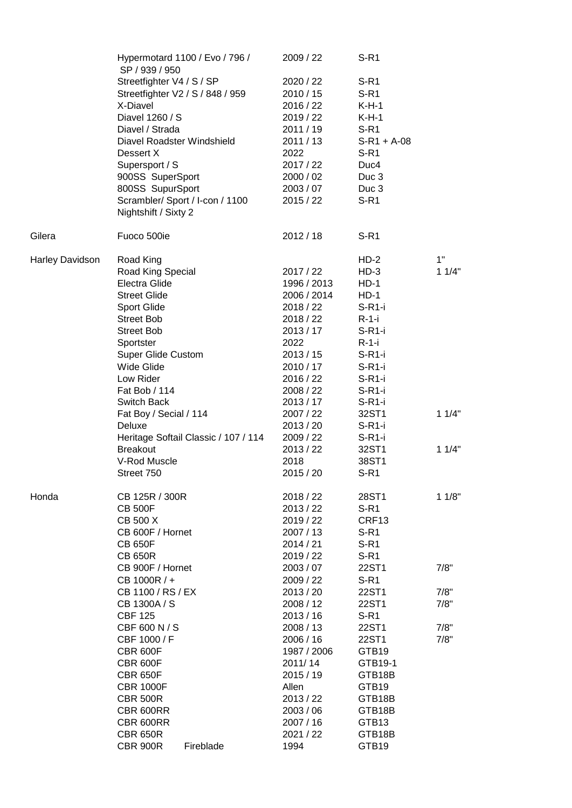|                        | Hypermotard 1100 / Evo / 796 /<br>SP / 939 / 950 |           | 2009 / 22   | $S-R1$            |       |
|------------------------|--------------------------------------------------|-----------|-------------|-------------------|-------|
|                        | Streetfighter V4 / S / SP                        |           | 2020 / 22   | $S-R1$            |       |
|                        | Streetfighter V2 / S / 848 / 959                 |           | 2010/15     | $S-R1$            |       |
|                        | X-Diavel                                         |           | 2016 / 22   | $K-H-1$           |       |
|                        | Diavel 1260 / S                                  |           | 2019 / 22   | $K-H-1$           |       |
|                        | Diavel / Strada                                  |           | 2011/19     | $S-R1$            |       |
|                        | Diavel Roadster Windshield                       |           | 2011/13     | $S-R1 + A-08$     |       |
|                        | Dessert X                                        |           | 2022        | $S-R1$            |       |
|                        | Supersport / S                                   |           | 2017 / 22   | Duc4              |       |
|                        | 900SS SuperSport                                 |           | 2000 / 02   | Duc <sub>3</sub>  |       |
|                        | 800SS SupurSport                                 |           | 2003 / 07   | Duc <sub>3</sub>  |       |
|                        | Scrambler/ Sport / I-con / 1100                  |           | 2015 / 22   | $S-R1$            |       |
|                        | Nightshift / Sixty 2                             |           |             |                   |       |
| Gilera                 | Fuoco 500ie                                      |           | 2012/18     | $S-R1$            |       |
| <b>Harley Davidson</b> | Road King                                        |           |             | $HD-2$            | 1"    |
|                        | Road King Special                                |           | 2017/22     | $HD-3$            | 11/4" |
|                        | Electra Glide                                    |           | 1996 / 2013 | $HD-1$            |       |
|                        | <b>Street Glide</b>                              |           | 2006 / 2014 | $HD-1$            |       |
|                        | <b>Sport Glide</b>                               |           | 2018 / 22   | $S-R1-i$          |       |
|                        | <b>Street Bob</b>                                |           | 2018/22     | $R-1-i$           |       |
|                        | <b>Street Bob</b>                                |           | 2013/17     | $S-R1-i$          |       |
|                        | Sportster                                        |           | 2022        | $R-1-i$           |       |
|                        | <b>Super Glide Custom</b>                        |           | 2013 / 15   | $S-R1-i$          |       |
|                        | Wide Glide                                       |           | 2010 / 17   | $S-R1-i$          |       |
|                        | Low Rider                                        |           | 2016 / 22   | $S-R1-i$          |       |
|                        | Fat Bob / 114                                    |           | 2008 / 22   | $S-R1-i$          |       |
|                        | Switch Back                                      |           | 2013/17     | $S-R1-i$          |       |
|                        | Fat Boy / Secial / 114                           |           | 2007 / 22   | 32ST1             | 11/4" |
|                        | Deluxe                                           |           | 2013 / 20   | $S-R1-i$          |       |
|                        | Heritage Softail Classic / 107 / 114             |           | 2009 / 22   | $S-R1-i$          |       |
|                        | <b>Breakout</b>                                  |           | 2013 / 22   | 32ST1             | 11/4" |
|                        | V-Rod Muscle                                     |           | 2018        | 38ST1             |       |
|                        | Street 750                                       |           | 2015/20     | $S-R1$            |       |
| Honda                  | CB 125R / 300R                                   |           | 2018 / 22   | 28ST1             | 11/8" |
|                        | <b>CB 500F</b>                                   |           | 2013 / 22   | $S-R1$            |       |
|                        | CB 500 X                                         |           | 2019 / 22   | CRF <sub>13</sub> |       |
|                        | CB 600F / Hornet                                 |           | 2007 / 13   | $S-R1$            |       |
|                        | <b>CB 650F</b>                                   |           | 2014/21     | $S-R1$            |       |
|                        | <b>CB 650R</b>                                   |           | 2019/22     | $S-R1$            |       |
|                        | CB 900F / Hornet                                 |           | 2003 / 07   | 22ST1             | 7/8"  |
|                        | CB 1000R / +                                     |           | 2009 / 22   | $S-R1$            |       |
|                        | CB 1100 / RS / EX                                |           | 2013 / 20   | 22ST1             | 7/8"  |
|                        | CB 1300A / S                                     |           | 2008 / 12   | 22ST1             | 7/8"  |
|                        | <b>CBF 125</b>                                   |           | 2013/16     | $S-R1$            |       |
|                        | CBF 600 N / S                                    |           | 2008 / 13   | 22ST1             | 7/8"  |
|                        | CBF 1000 / F                                     |           | 2006 / 16   | 22ST1             | 7/8"  |
|                        | <b>CBR 600F</b>                                  |           | 1987 / 2006 | GTB19             |       |
|                        | <b>CBR 600F</b>                                  |           | 2011/14     | GTB19-1           |       |
|                        | <b>CBR 650F</b>                                  |           | 2015 / 19   | GTB18B            |       |
|                        | <b>CBR 1000F</b>                                 |           | Allen       | GTB19             |       |
|                        | <b>CBR 500R</b>                                  |           | 2013 / 22   | GTB18B            |       |
|                        | CBR 600RR                                        |           | 2003/06     | GTB18B            |       |
|                        | CBR 600RR                                        |           | 2007 / 16   | GTB13             |       |
|                        | <b>CBR 650R</b>                                  |           | 2021 / 22   | GTB18B            |       |
|                        | <b>CBR 900R</b>                                  | Fireblade | 1994        | GTB19             |       |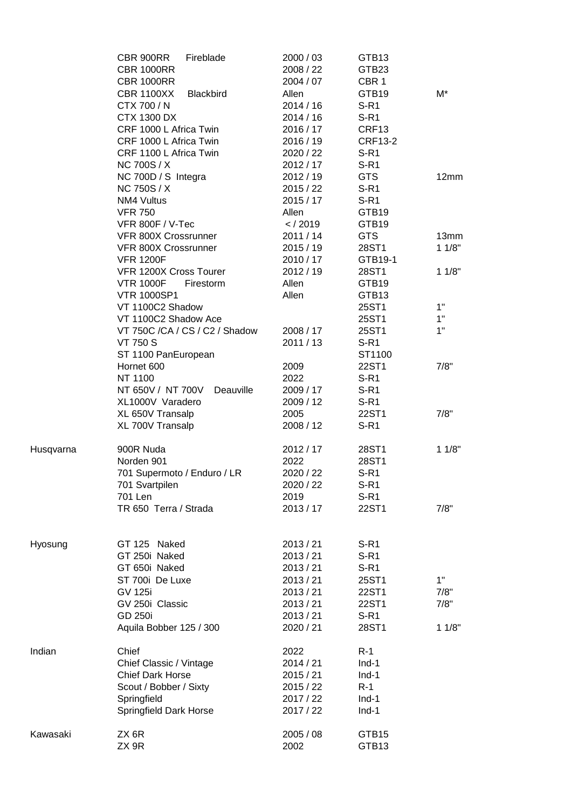|           | CBR 900RR<br>Fireblade<br><b>CBR 1000RR</b><br><b>CBR 1000RR</b> | 2000 / 03<br>2008 / 22<br>2004 / 07 | GTB <sub>13</sub><br>GTB23<br>CBR <sub>1</sub> |       |
|-----------|------------------------------------------------------------------|-------------------------------------|------------------------------------------------|-------|
|           | <b>CBR 1100XX</b><br><b>Blackbird</b><br>CTX 700 / N             | Allen<br>2014/16                    | GTB19<br>$S-R1$                                | M*    |
|           | <b>CTX 1300 DX</b>                                               | 2014/16                             | $S-R1$                                         |       |
|           | CRF 1000 L Africa Twin                                           | 2016 / 17                           | CRF13                                          |       |
|           | CRF 1000 L Africa Twin                                           | 2016 / 19                           | <b>CRF13-2</b>                                 |       |
|           | CRF 1100 L Africa Twin                                           | 2020 / 22                           | $S-R1$                                         |       |
|           | <b>NC 700S / X</b>                                               | 2012 / 17                           | $S-R1$                                         |       |
|           | NC 700D / S Integra                                              | 2012/19                             | <b>GTS</b>                                     | 12mm  |
|           | <b>NC 750S / X</b>                                               | 2015/22                             | $S-R1$                                         |       |
|           | NM4 Vultus                                                       | 2015/17                             | $S-R1$                                         |       |
|           | <b>VFR 750</b>                                                   | Allen                               | GTB19                                          |       |
|           | VFR 800F / V-Tec                                                 | $<$ / 2019                          | GTB19                                          |       |
|           | VFR 800X Crossrunner                                             | 2011/14                             | <b>GTS</b>                                     | 13mm  |
|           | VFR 800X Crossrunner                                             | 2015/19                             | 28ST1                                          | 11/8" |
|           | <b>VFR 1200F</b>                                                 | 2010 / 17<br>2012/19                | GTB19-1                                        |       |
|           | VFR 1200X Cross Tourer<br><b>VTR 1000F</b><br>Firestorm          | Allen                               | 28ST1<br>GTB19                                 | 11/8" |
|           | <b>VTR 1000SP1</b>                                               | Allen                               | GTB13                                          |       |
|           | VT 1100C2 Shadow                                                 |                                     | 25ST1                                          | 1"    |
|           | VT 1100C2 Shadow Ace                                             |                                     | 25ST1                                          | 1"    |
|           | VT 750C /CA / CS / C2 / Shadow                                   | 2008 / 17                           | 25ST1                                          | 1"    |
|           | <b>VT 750 S</b>                                                  | 2011/13                             | $S-R1$                                         |       |
|           | ST 1100 PanEuropean                                              |                                     | ST1100                                         |       |
|           | Hornet 600                                                       | 2009                                | 22ST1                                          | 7/8"  |
|           | NT 1100                                                          | 2022                                | $S-R1$                                         |       |
|           | NT 650V / NT 700V<br>Deauville                                   | 2009 / 17                           | $S-R1$                                         |       |
|           | XL1000V Varadero                                                 | 2009 / 12                           | $S-R1$                                         |       |
|           | XL 650V Transalp                                                 | 2005                                | 22ST1                                          | 7/8"  |
|           | XL 700V Transalp                                                 | 2008 / 12                           | $S-R1$                                         |       |
| Husqvarna | 900R Nuda                                                        | 2012 / 17                           | 28ST1                                          | 11/8" |
|           | Norden 901                                                       | 2022                                | 28ST1                                          |       |
|           | 701 Supermoto / Enduro / LR                                      | 2020 / 22                           | $S-R1$                                         |       |
|           | 701 Svartpilen                                                   | 2020 / 22                           | $S-R1$                                         |       |
|           | 701 Len<br>TR 650 Terra / Strada                                 | 2019                                | $S-R1$                                         |       |
|           |                                                                  | 2013/17                             | 22ST1                                          | 7/8"  |
| Hyosung   | GT 125 Naked                                                     | 2013 / 21                           | $S-R1$                                         |       |
|           | GT 250i Naked                                                    | 2013 / 21                           | $S-R1$                                         |       |
|           | GT 650i Naked                                                    | 2013 / 21                           | $S-R1$                                         |       |
|           | ST 700i De Luxe                                                  | 2013 / 21                           | 25ST1                                          | 1"    |
|           | <b>GV 125i</b>                                                   | 2013 / 21                           | 22ST1                                          | 7/8"  |
|           | GV 250i Classic                                                  | 2013 / 21                           | 22ST1                                          | 7/8"  |
|           | <b>GD 250i</b>                                                   | 2013 / 21                           | $S-R1$                                         |       |
|           | Aquila Bobber 125 / 300                                          | 2020 / 21                           | 28ST1                                          | 11/8" |
| Indian    | Chief                                                            | 2022                                | $R-1$                                          |       |
|           | Chief Classic / Vintage                                          | 2014 / 21                           | $Ind-1$                                        |       |
|           | <b>Chief Dark Horse</b>                                          | 2015/21                             | $Ind-1$                                        |       |
|           | Scout / Bobber / Sixty                                           | 2015/22                             | $R-1$                                          |       |
|           | Springfield                                                      | 2017 / 22                           | $Ind-1$                                        |       |
|           | Springfield Dark Horse                                           | 2017 / 22                           | $Ind-1$                                        |       |
| Kawasaki  | ZX 6R<br>ZX 9R                                                   | 2005 / 08<br>2002                   | GTB15<br>GTB13                                 |       |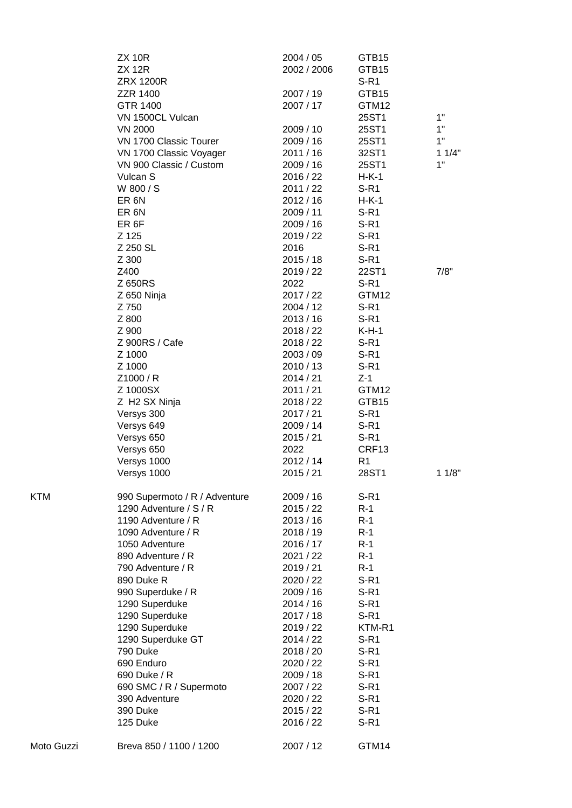|            | <b>ZX 10R</b><br><b>ZX 12R</b>           | 2004 / 05<br>2002 / 2006 | GTB15<br>GTB15   |       |
|------------|------------------------------------------|--------------------------|------------------|-------|
|            | <b>ZRX 1200R</b>                         |                          | $S-R1$           |       |
|            | <b>ZZR 1400</b><br>GTR 1400              | 2007 / 19                | GTB15            |       |
|            | VN 1500CL Vulcan                         | 2007 / 17                | GTM12<br>25ST1   | 1"    |
|            |                                          | 2009 / 10                |                  | 1"    |
|            | <b>VN 2000</b><br>VN 1700 Classic Tourer | 2009 / 16                | 25ST1<br>25ST1   | 1"    |
|            | VN 1700 Classic Voyager                  | 2011 / 16                | 32ST1            | 11/4" |
|            | VN 900 Classic / Custom                  | 2009 / 16                | 25ST1            | 1"    |
|            | Vulcan S                                 | 2016 / 22                | $H-K-1$          |       |
|            | W 800 / S                                | 2011 / 22                | $S-R1$           |       |
|            | ER <sub>6N</sub>                         | 2012/16                  | $H-K-1$          |       |
|            | ER <sub>6N</sub>                         | 2009 / 11                | $S-R1$           |       |
|            | ER <sub>6F</sub>                         | 2009 / 16                | $S-R1$           |       |
|            | Z 125                                    | 2019 / 22                | $S-R1$           |       |
|            | Z 250 SL                                 | 2016                     | $S-R1$           |       |
|            | Z 300                                    | 2015/18                  | $S-R1$           |       |
|            | Z400                                     | 2019 / 22                | 22ST1            | 7/8"  |
|            | Z 650RS                                  | 2022                     | $S-R1$           |       |
|            | Z 650 Ninja                              | 2017 / 22                | GTM12            |       |
|            | Z 750                                    | 2004 / 12                | $S-R1$           |       |
|            | Z 800                                    | 2013 / 16                | $S-R1$           |       |
|            | Z 900                                    | 2018 / 22                | $K-H-1$          |       |
|            | Z 900RS / Cafe                           | 2018 / 22                | $S-R1$           |       |
|            | Z 1000                                   | 2003 / 09                | $S-R1$           |       |
|            | Z 1000                                   | 2010 / 13                | $S-R1$           |       |
|            | Z1000 / R                                | 2014 / 21                | $Z-1$            |       |
|            | Z 1000SX                                 | 2011 / 21                | GTM12            |       |
|            | Z H2 SX Ninja                            | 2018 / 22                | GTB15            |       |
|            | Versys 300                               | 2017 / 21                | $S-R1$           |       |
|            | Versys 649                               | 2009 / 14                | $S-R1$           |       |
|            | Versys 650                               | 2015/21                  | $S-R1$           |       |
|            | Versys 650                               | 2022                     | CRF13            |       |
|            | Versys 1000                              | 2012 / 14                | R <sub>1</sub>   |       |
|            | Versys 1000                              | 2015/21                  | 28ST1            | 11/8" |
| KTM        | 990 Supermoto / R / Adventure            | 2009/16                  | $S-R1$           |       |
|            | 1290 Adventure / S / R                   | 2015 / 22                | $R-1$            |       |
|            | 1190 Adventure / R                       | 2013/16                  | $R-1$            |       |
|            | 1090 Adventure / R                       | 2018 / 19                | $R-1$            |       |
|            | 1050 Adventure                           | 2016 / 17                | $R-1$            |       |
|            | 890 Adventure / R                        | 2021 / 22                | $R-1$            |       |
|            | 790 Adventure / R                        | 2019 / 21                | $R-1$            |       |
|            | 890 Duke R                               | 2020 / 22                | $S-R1$           |       |
|            | 990 Superduke / R                        | 2009 / 16                | $S-R1$           |       |
|            | 1290 Superduke                           | 2014/16                  | $S-R1$           |       |
|            | 1290 Superduke                           | 2017 / 18                | $S-R1$           |       |
|            | 1290 Superduke                           | 2019 / 22                | KTM-R1           |       |
|            | 1290 Superduke GT                        | 2014 / 22                | $S-R1$           |       |
|            | 790 Duke                                 | 2018 / 20                | $S-R1$           |       |
|            | 690 Enduro<br>690 Duke / R               | 2020 / 22<br>2009 / 18   | $S-R1$<br>$S-R1$ |       |
|            | 690 SMC / R / Supermoto                  | 2007 / 22                | $S-R1$           |       |
|            | 390 Adventure                            | 2020 / 22                | $S-R1$           |       |
|            | 390 Duke                                 | 2015 / 22                | $S-R1$           |       |
|            | 125 Duke                                 | 2016 / 22                | $S-R1$           |       |
| Moto Guzzi | Breva 850 / 1100 / 1200                  | 2007 / 12                | GTM14            |       |
|            |                                          |                          |                  |       |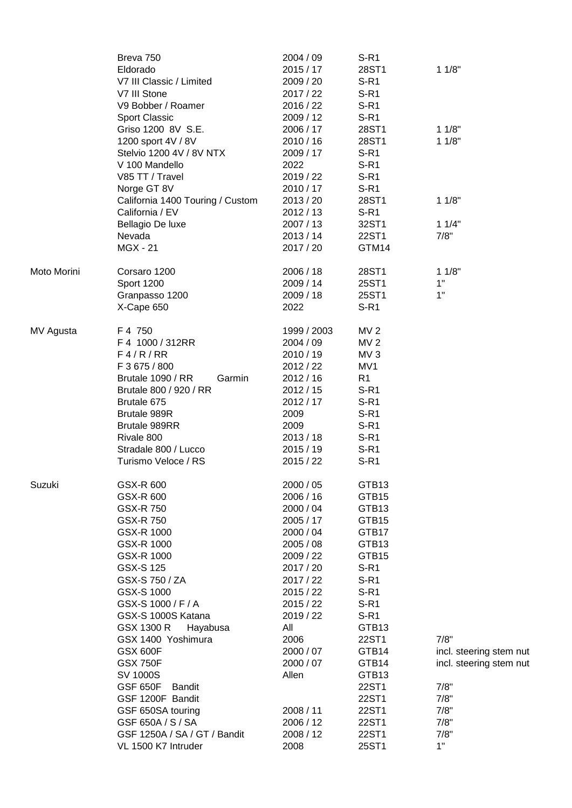|             | Breva 750<br>Eldorado<br>V7 III Classic / Limited<br>V7 III Stone<br>V9 Bobber / Roamer<br><b>Sport Classic</b><br>Griso 1200 8V S.E.<br>1200 sport 4V / 8V<br>Stelvio 1200 4V / 8V NTX<br>V 100 Mandello<br>V85 TT / Travel<br>Norge GT 8V                                                                                                                                                                                                          | 2004 / 09<br>2015/17<br>2009 / 20<br>2017 / 22<br>2016 / 22<br>2009 / 12<br>2006 / 17<br>2010 / 16<br>2009 / 17<br>2022<br>2019 / 22<br>2010 / 17                                                                                                     | S-R <sub>1</sub><br>28ST1<br>$S-R1$<br>$S-R1$<br>$S-R1$<br>$S-R1$<br>28ST1<br>28ST1<br>$S-R1$<br>$S-R1$<br>$S-R1$<br>$S-R1$                                                                                      | 11/8"<br>11/8"<br>11/8"                                                                                  |
|-------------|------------------------------------------------------------------------------------------------------------------------------------------------------------------------------------------------------------------------------------------------------------------------------------------------------------------------------------------------------------------------------------------------------------------------------------------------------|-------------------------------------------------------------------------------------------------------------------------------------------------------------------------------------------------------------------------------------------------------|------------------------------------------------------------------------------------------------------------------------------------------------------------------------------------------------------------------|----------------------------------------------------------------------------------------------------------|
|             | California 1400 Touring / Custom<br>California / EV<br>Bellagio De luxe<br>Nevada<br><b>MGX - 21</b>                                                                                                                                                                                                                                                                                                                                                 | 2013 / 20<br>2012 / 13<br>2007 / 13<br>2013/14<br>2017 / 20                                                                                                                                                                                           | 28ST1<br>$S-R1$<br>32ST1<br>22ST1<br>GTM14                                                                                                                                                                       | 11/8"<br>11/4"<br>7/8"                                                                                   |
| Moto Morini | Corsaro 1200<br>Sport 1200<br>Granpasso 1200<br>X-Cape 650                                                                                                                                                                                                                                                                                                                                                                                           | 2006 / 18<br>2009 / 14<br>2009 / 18<br>2022                                                                                                                                                                                                           | 28ST1<br>25ST1<br>25ST1<br>$S-R1$                                                                                                                                                                                | 11/8"<br>1"<br>1"                                                                                        |
| MV Agusta   | F 4 750<br>F 4 1000 / 312RR<br>F4/R/RR<br>F 3 675 / 800<br>Brutale 1090 / RR<br>Garmin<br>Brutale 800 / 920 / RR<br>Brutale 675<br>Brutale 989R<br>Brutale 989RR<br>Rivale 800<br>Stradale 800 / Lucco<br>Turismo Veloce / RS                                                                                                                                                                                                                        | 1999 / 2003<br>2004 / 09<br>2010 / 19<br>2012 / 22<br>2012/16<br>2012 / 15<br>2012 / 17<br>2009<br>2009<br>2013/18<br>2015 / 19<br>2015/22                                                                                                            | MV <sub>2</sub><br>MV <sub>2</sub><br>MV <sub>3</sub><br>MV1<br>R <sub>1</sub><br>$S-R1$<br>$S-R1$<br>$S-R1$<br>$S-R1$<br>$S-R1$<br>$S-R1$<br>$S-R1$                                                             |                                                                                                          |
| Suzuki      | GSX-R 600<br>GSX-R 600<br>GSX-R 750<br>GSX-R 750<br>GSX-R 1000<br>GSX-R 1000<br>GSX-R 1000<br><b>GSX-S125</b><br>GSX-S 750 / ZA<br>GSX-S 1000<br>GSX-S 1000 / F / A<br>GSX-S 1000S Katana<br>GSX 1300 R<br>Hayabusa<br>GSX 1400 Yoshimura<br><b>GSX 600F</b><br><b>GSX 750F</b><br>SV 1000S<br><b>GSF 650F</b><br><b>Bandit</b><br>GSF 1200F Bandit<br>GSF 650SA touring<br>GSF 650A / S / SA<br>GSF 1250A / SA / GT / Bandit<br>VL 1500 K7 Intruder | 2000 / 05<br>2006 / 16<br>2000 / 04<br>2005 / 17<br>2000 / 04<br>2005 / 08<br>2009 / 22<br>2017 / 20<br>2017 / 22<br>2015/22<br>2015/22<br>2019 / 22<br>All<br>2006<br>2000 / 07<br>2000 / 07<br>Allen<br>2008 / 11<br>2006 / 12<br>2008 / 12<br>2008 | GTB13<br>GTB15<br>GTB13<br>GTB15<br>GTB17<br>GTB13<br>GTB15<br>$S-R1$<br>$S-R1$<br>$S-R1$<br>$S-R1$<br>$S-R1$<br>GTB13<br>22ST1<br>GTB14<br>GTB14<br>GTB13<br>22ST1<br>22ST1<br>22ST1<br>22ST1<br>22ST1<br>25ST1 | 7/8"<br>incl. steering stem nut<br>incl. steering stem nut<br>7/8"<br>7/8"<br>7/8"<br>7/8"<br>7/8"<br>1" |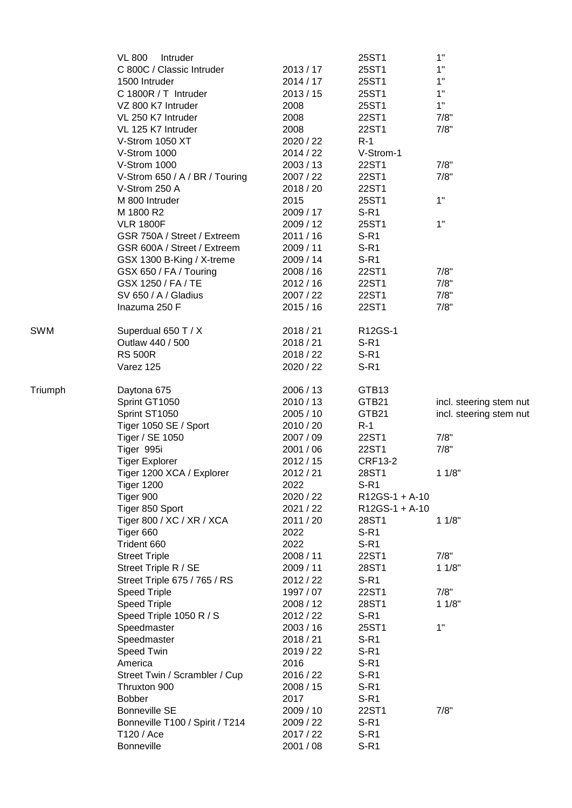|            | <b>VL 800</b><br>Intruder       |           | 25ST1          | 1"                      |
|------------|---------------------------------|-----------|----------------|-------------------------|
|            | C 800C / Classic Intruder       | 2013/17   | 25ST1          | 1"                      |
|            | 1500 Intruder                   | 2014/17   | 25ST1          | 1"                      |
|            | C 1800R / T Intruder            | 2013/15   | 25ST1          | 1"                      |
|            | VZ 800 K7 Intruder              | 2008      | 25ST1          | 1"                      |
|            | VL 250 K7 Intruder              | 2008      | 22ST1          | 7/8"                    |
|            | VL 125 K7 Intruder              | 2008      | 22ST1          | 7/8"                    |
|            | V-Strom 1050 XT                 | 2020 / 22 | $R-1$          |                         |
|            | V-Strom 1000                    | 2014 / 22 | V-Strom-1      |                         |
|            | V-Strom 1000                    | 2003 / 13 | 22ST1          | 7/8"                    |
|            | V-Strom 650 / A / BR / Touring  | 2007 / 22 | 22ST1          | 7/8"                    |
|            | V-Strom 250 A                   | 2018 / 20 | 22ST1          |                         |
|            | M 800 Intruder                  | 2015      | 25ST1          | 1"                      |
|            | M 1800 R2                       | 2009 / 17 | $S-R1$         |                         |
|            | <b>VLR 1800F</b>                | 2009 / 12 | 25ST1          | 1"                      |
|            | GSR 750A / Street / Extreem     | 2011 / 16 | $S-R1$         |                         |
|            | GSR 600A / Street / Extreem     | 2009 / 11 | $S-R1$         |                         |
|            | GSX 1300 B-King / X-treme       | 2009 / 14 | $S-R1$         |                         |
|            | GSX 650 / FA / Touring          | 2008/16   | 22ST1          | 7/8"                    |
|            | GSX 1250 / FA / TE              | 2012/16   | 22ST1          | 7/8"                    |
|            | SV 650 / A / Gladius            | 2007 / 22 | 22ST1          | 7/8"                    |
|            | Inazuma 250 F                   | 2015/16   | 22ST1          | 7/8"                    |
| <b>SWM</b> | Superdual 650 T / X             | 2018 / 21 | R12GS-1        |                         |
|            | Outlaw 440 / 500                | 2018 / 21 | $S-R1$         |                         |
|            | <b>RS 500R</b>                  | 2018 / 22 | $S-R1$         |                         |
|            | Varez 125                       | 2020 / 22 | $S-R1$         |                         |
| Triumph    | Daytona 675                     | 2006 / 13 | GTB13          |                         |
|            | Sprint GT1050                   | 2010 / 13 | GTB21          | incl. steering stem nut |
|            | Sprint ST1050                   | 2005/10   | GTB21          | incl. steering stem nut |
|            | Tiger 1050 SE / Sport           | 2010 / 20 | $R-1$          |                         |
|            | Tiger / SE 1050                 | 2007 / 09 | 22ST1          | 7/8"                    |
|            | Tiger 995i                      | 2001 / 06 | 22ST1          | 7/8"                    |
|            | <b>Tiger Explorer</b>           | 2012/15   | <b>CRF13-2</b> |                         |
|            | Tiger 1200 XCA / Explorer       | 2012 / 21 | 28ST1          | 11/8"                   |
|            | <b>Tiger 1200</b>               | 2022      | $S-R1$         |                         |
|            | Tiger 900                       | 2020 / 22 | R12GS-1 + A-10 |                         |
|            | Tiger 850 Sport                 | 2021 / 22 | R12GS-1 + A-10 |                         |
|            | Tiger 800 / XC / XR / XCA       | 2011 / 20 | 28ST1          | 11/8"                   |
|            | Tiger 660                       | 2022      | $S-R1$         |                         |
|            | Trident 660                     | 2022      | $S-R1$         |                         |
|            | <b>Street Triple</b>            | 2008 / 11 | 22ST1          | 7/8"                    |
|            | Street Triple R / SE            | 2009 / 11 | 28ST1          | 11/8"                   |
|            | Street Triple 675 / 765 / RS    | 2012 / 22 | $S-R1$         |                         |
|            | <b>Speed Triple</b>             | 1997 / 07 | 22ST1          | 7/8"                    |
|            | <b>Speed Triple</b>             | 2008 / 12 | 28ST1          | 11/8"                   |
|            | Speed Triple 1050 R / S         | 2012 / 22 | $S-R1$         |                         |
|            | Speedmaster                     | 2003 / 16 | 25ST1          | 1"                      |
|            | Speedmaster                     | 2018 / 21 | $S-R1$         |                         |
|            | Speed Twin                      | 2019 / 22 | $S-R1$         |                         |
|            | America                         | 2016      | $S-R1$         |                         |
|            | Street Twin / Scrambler / Cup   | 2016 / 22 | $S-R1$         |                         |
|            | Thruxton 900                    | 2008 / 15 | $S-R1$         |                         |
|            | <b>Bobber</b>                   | 2017      | $S-R1$         |                         |
|            | <b>Bonneville SE</b>            | 2009 / 10 | 22ST1          | 7/8"                    |
|            | Bonneville T100 / Spirit / T214 | 2009 / 22 | $S-R1$         |                         |
|            | T120 / Ace                      | 2017 / 22 | $S-R1$         |                         |
|            | <b>Bonneville</b>               | 2001 / 08 | $S-R1$         |                         |
|            |                                 |           |                |                         |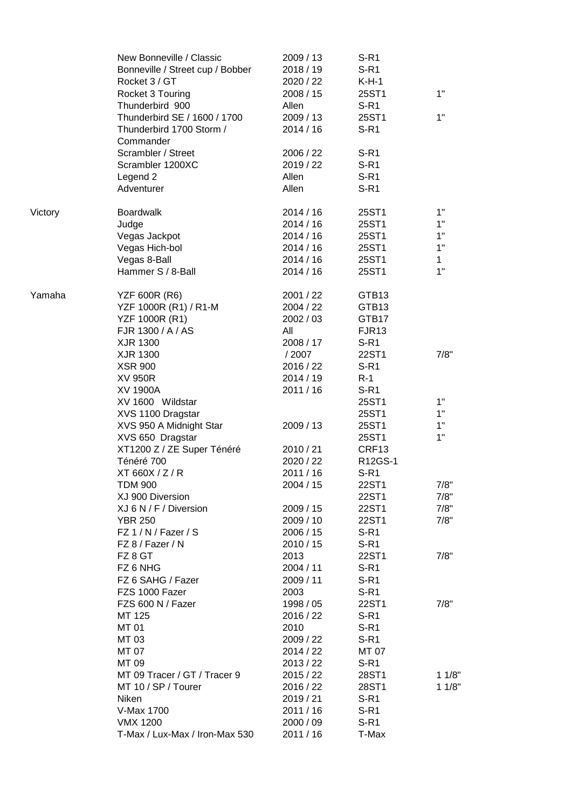|         | New Bonneville / Classic<br>Bonneville / Street cup / Bobber<br>Rocket 3 / GT | 2009 / 13<br>2018 / 19<br>2020 / 22 | $S-R1$<br>$S-R1$<br>$K-H-1$ |              |
|---------|-------------------------------------------------------------------------------|-------------------------------------|-----------------------------|--------------|
|         | Rocket 3 Touring                                                              | 2008 / 15                           | 25ST1                       | 1"           |
|         | Thunderbird 900<br>Thunderbird SE / 1600 / 1700                               | Allen<br>2009 / 13                  | $S-R1$<br>25ST1             | 1"           |
|         | Thunderbird 1700 Storm /<br>Commander                                         | 2014 / 16                           | $S-R1$                      |              |
|         | Scrambler / Street                                                            | 2006 / 22                           | $S-R1$                      |              |
|         | Scrambler 1200XC                                                              | 2019 / 22                           | $S-R1$                      |              |
|         | Legend 2<br>Adventurer                                                        | Allen<br>Allen                      | $S-R1$<br>$S-R1$            |              |
| Victory | <b>Boardwalk</b>                                                              | 2014/16                             | 25ST1                       | 1"           |
|         | Judge                                                                         | 2014/16                             | 25ST1                       | 1"           |
|         | Vegas Jackpot                                                                 | 2014/16                             | 25ST1                       | 1"           |
|         | Vegas Hich-bol                                                                | 2014/16                             | 25ST1                       | 1"           |
|         | Vegas 8-Ball                                                                  | 2014/16                             | 25ST1                       | $\mathbf{1}$ |
|         | Hammer S / 8-Ball                                                             | 2014 / 16                           | 25ST1                       | 1"           |
| Yamaha  | <b>YZF 600R (R6)</b>                                                          | 2001 / 22                           | GTB13                       |              |
|         | YZF 1000R (R1) / R1-M                                                         | 2004 / 22                           | GTB13                       |              |
|         | YZF 1000R (R1)                                                                | 2002 / 03                           | GTB17                       |              |
|         | FJR 1300 / A / AS                                                             | All                                 | FJR <sub>13</sub>           |              |
|         | XJR 1300<br>XJR 1300                                                          | 2008 / 17<br>/ 2007                 | $S-R1$<br>22ST1             | 7/8"         |
|         | <b>XSR 900</b>                                                                | 2016 / 22                           | $S-R1$                      |              |
|         | XV 950R                                                                       | 2014 / 19                           | $R-1$                       |              |
|         | <b>XV 1900A</b>                                                               | 2011 / 16                           | $S-R1$                      |              |
|         | XV 1600 Wildstar                                                              |                                     | 25ST1                       | 1"           |
|         | XVS 1100 Dragstar                                                             |                                     | 25ST1                       | 1"           |
|         | XVS 950 A Midnight Star                                                       | 2009 / 13                           | 25ST1                       | 1"           |
|         | XVS 650 Dragstar                                                              |                                     | 25ST1                       | 1"           |
|         | XT1200 Z / ZE Super Ténéré                                                    | 2010 / 21                           | CRF13                       |              |
|         | Ténéré 700                                                                    | 2020 / 22                           | R12GS-1                     |              |
|         | XT 660X / Z / R                                                               | 2011 / 16                           | S-R1                        |              |
|         | TDM 900                                                                       | 2004 / 15                           | 22ST1                       | 7/8"         |
|         | XJ 900 Diversion                                                              |                                     | 22ST1                       | 7/8"         |
|         | XJ 6 N / F / Diversion                                                        | 2009 / 15                           | 22ST1                       | 7/8"         |
|         | <b>YBR 250</b>                                                                | 2009 / 10                           | 22ST1                       | 7/8"         |
|         | $FZ$ 1 / N / Fazer / S                                                        | 2006 / 15                           | $S-R1$                      |              |
|         | FZ 8 / Fazer / N                                                              | 2010 / 15                           | $S-R1$                      |              |
|         | FZ 8 GT                                                                       | 2013                                | 22ST1                       | 7/8"         |
|         | FZ 6 NHG                                                                      | 2004 / 11                           | $S-R1$                      |              |
|         | FZ 6 SAHG / Fazer                                                             | 2009 / 11                           | $S-R1$                      |              |
|         | FZS 1000 Fazer                                                                | 2003                                | $S-R1$                      |              |
|         | FZS 600 N / Fazer                                                             | 1998 / 05                           | 22ST1                       | 7/8"         |
|         | MT 125                                                                        | 2016 / 22                           | $S-R1$                      |              |
|         | MT 01                                                                         | 2010                                | $S-R1$                      |              |
|         | MT 03                                                                         | 2009 / 22                           | $S-R1$                      |              |
|         | MT 07                                                                         | 2014 / 22                           | MT 07                       |              |
|         | MT 09                                                                         | 2013 / 22                           | $S-R1$                      |              |
|         | MT 09 Tracer / GT / Tracer 9                                                  | 2015 / 22                           | 28ST1                       | 11/8"        |
|         | MT 10 / SP / Tourer                                                           | 2016 / 22                           | 28ST1                       | 11/8"        |
|         | Niken                                                                         | 2019 / 21                           | $S-R1$                      |              |
|         | V-Max 1700                                                                    | 2011 / 16                           | $S-R1$                      |              |
|         | <b>VMX 1200</b>                                                               | 2000 / 09                           | $S-R1$                      |              |
|         | T-Max / Lux-Max / Iron-Max 530                                                | 2011/16                             | T-Max                       |              |